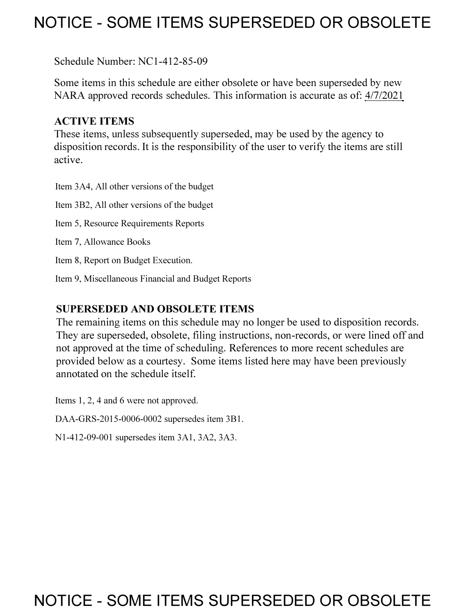## **NOTICE - SOME ITEMS SUPERSEDED OR OBSOLETE**

Schedule Number: NCl-412-85-09

Some items in this schedule are either obsolete or have been superseded by new NARA approved records schedules. This information is accurate as of: 4/7/2021

## **ACTIVE ITEMS**

These items, unless subsequently superseded, may be used by the agency to disposition records. It is the responsibility of the user to verify the items are still active.

Item 3A4, All other versions of the budget Item 3B2, All other versions of the budget Item 5, Resource Requirements Reports Item 7, Allowance Books Item 8, Report on Budget Execution.

Item 9, Miscellaneous Financial and Budget Reports

## **SUPERSEDED AND OBSOLETE ITEMS**

The remaining items on this schedule may no longer be used to disposition records. They are superseded, obsolete, filing instructions, non-records, or were lined off and not approved at the time of scheduling. References to more recent schedules are provided below as a courtesy. Some items listed here may have been previously annotated on the schedule itself.

Items 1, 2, 4 and 6 were not approved.

DAA-GRS-2015-0006-0002 supersedes item 3Bl.

Nl-412-09-001 supersedes item 3Al, 3A2, 3A3.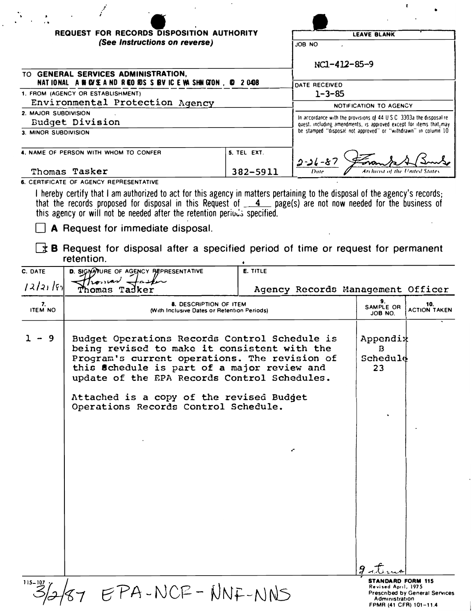| $\blacksquare$<br>$\epsilon$                                   |             |                                                                       |
|----------------------------------------------------------------|-------------|-----------------------------------------------------------------------|
| <b>REQUEST FOR RECORDS DISPOSITION AUTHORITY</b>               |             | <b>LEAVE BLANK</b>                                                    |
| (See Instructions on reverse)                                  |             | JOB NO                                                                |
|                                                                |             | $NC1 - 412 - 85 - 9$                                                  |
| TO GENERAL SERVICES ADMINISTRATION.                            |             |                                                                       |
| NATIONAL A M OV E A ND REO RDS S BV IC E WA SHN GTON, CD 20408 |             | DATE RECEIVED                                                         |
| 1. FROM (AGENCY OR ESTABLISHMENT)                              |             | $1 - 3 - 85$                                                          |
| Environmental Protection Agency                                |             | NOTIFICATION TO AGENCY                                                |
| 2. MAJOR SUBDIVISION                                           |             | In accordance with the provisions of 44 U.S.C. 3303a the disposal re- |
| <b>Budget Division</b>                                         |             | quest, including amendments, is approved except for items that, may   |
| 3. MINOR SUBDIVISION                                           |             | be stamped "disposal not approved" or "withdrawn" in column 10        |
| 4. NAME OF PERSON WITH WHOM TO CONFER                          | 5. TEL EXT. | 2-16-57                                                               |
| Thomas Tasker                                                  | 382-5911    | Archievit of the United States<br>Date                                |

**6. CERTIFICATE OF AGENCY REPRESENTATIVE** 

I hereby certify that I am authorized to act for this agency in matters pertaining to the disposal of the agency's records; that the records proposed for disposal in this Request of \_**\_4** \_\_ page(s) are not now needed for the business of this agency or will not be needed after the retention perio $\mathsf{d}\mathsf{s}$  specified.

 $\Box$  A Request for immediate disposal.

 $\boxed{\rightarrow}$  B Request for disposal after a specified period of time or request for permanent retention.

| C. DATE              | D. SIGNATURE OF AGENCY REPRESENTATIVE                                                                                                                                                                                                                                                     | E. TITLE                          |                                                                                             |                                |
|----------------------|-------------------------------------------------------------------------------------------------------------------------------------------------------------------------------------------------------------------------------------------------------------------------------------------|-----------------------------------|---------------------------------------------------------------------------------------------|--------------------------------|
| 12/21                | سمائك<br>Thomas<br>Tadker                                                                                                                                                                                                                                                                 | Agency Records Management Officer |                                                                                             |                                |
| 7.<br><b>ITEM NO</b> | 8. DESCRIPTION OF ITEM<br>(With Inclusive Dates or Retention Periods)                                                                                                                                                                                                                     |                                   | 9.<br><b>SAMPLE OR</b><br>JOB NO.                                                           | 10.<br><b>ACTION TAKEN</b>     |
| -9                   | Budget Operations Records Control Schedule is<br>being revised to make it consistent with the<br>Program's current operations. The revision of<br>this Schedule is part of a major review and<br>update of the EPA Records Control Schedules.<br>Attached is a copy of the revised Budget |                                   | Appendix<br>B.<br>Schedul@<br>23                                                            |                                |
|                      | Operations Records Control Schedule.                                                                                                                                                                                                                                                      |                                   |                                                                                             |                                |
|                      |                                                                                                                                                                                                                                                                                           |                                   |                                                                                             |                                |
|                      |                                                                                                                                                                                                                                                                                           | c                                 |                                                                                             |                                |
|                      |                                                                                                                                                                                                                                                                                           |                                   |                                                                                             |                                |
|                      |                                                                                                                                                                                                                                                                                           |                                   |                                                                                             |                                |
|                      |                                                                                                                                                                                                                                                                                           |                                   |                                                                                             |                                |
|                      |                                                                                                                                                                                                                                                                                           |                                   |                                                                                             |                                |
| $115 - 107$          | EPA-NCF-NNF-NNS                                                                                                                                                                                                                                                                           |                                   | <b>STANDARD FORM 115</b><br>Revised April, 1975<br>Administration<br>FPMR (41 CFR) 101-11.4 | Prescribed by General Services |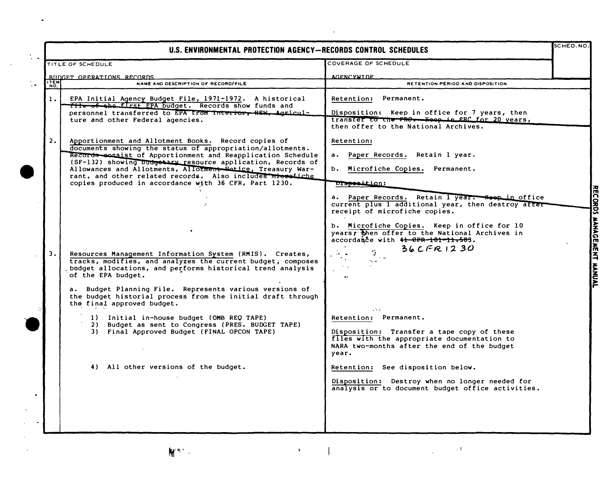|                    | U.S. ENVIRONMENTAL PROTECTION AGENCY-RECORDS CONTROL SCHEDULES                                                                                                                                                                                                                                                                                                                                                                     |                                                                                                                                                                                                                                                                              |  |
|--------------------|------------------------------------------------------------------------------------------------------------------------------------------------------------------------------------------------------------------------------------------------------------------------------------------------------------------------------------------------------------------------------------------------------------------------------------|------------------------------------------------------------------------------------------------------------------------------------------------------------------------------------------------------------------------------------------------------------------------------|--|
|                    | TITLE OF SCHEDULE                                                                                                                                                                                                                                                                                                                                                                                                                  | COVERAGE OF SCHEDULE                                                                                                                                                                                                                                                         |  |
|                    | BUDGET OPERATIONS RECORDS                                                                                                                                                                                                                                                                                                                                                                                                          | <b>AGENCYWIDE</b>                                                                                                                                                                                                                                                            |  |
| <b>ITEM</b><br>NO. | NAME AND DESCRIPTION OF RECORD/FILE                                                                                                                                                                                                                                                                                                                                                                                                | RETENTION PERIOD AND DISPOSITION                                                                                                                                                                                                                                             |  |
| $\mathbf{1}$ .     | EPA Initial Agency Budget File, 1971-1972. A historical<br>Tite of the first EPA budget. Records show funds and<br>personnel transferred to EPA from Interior, HEM, Agricul-<br>ture and other Federal agencies.                                                                                                                                                                                                                   | Retention: Permanent.<br>Disposition: Keep in office for 7 years, then<br>transfer to the PRO. Keep in FRC for 20 years,<br>then offer to the National Archives.                                                                                                             |  |
| 2.                 | Apportionment and Allotment Books. Record copies of<br>documents showing the status of appropriation/allotments.<br>Records consist of Apportionment and Reapplication Schedule<br>(SF-132) showing pudgetary resource application, Records of<br>Allowances and Allotments, Allotment Notice, Treasury War-<br>rant, and other related records. Also includes microfiche<br>copies produced in accordance with 36 CFR, Part 1230. | Retention:<br>a. Paper Records. Retain 1 year.<br>b. Microfiche Copies. Permanent.<br><del>Dispeci</del> tion:                                                                                                                                                               |  |
|                    |                                                                                                                                                                                                                                                                                                                                                                                                                                    | a. Paper Records. Retain I year. Woop in office<br>current plus 1 additional year, then destroy after<br>receipt of microfiche copies.<br>b. Microfiche Copies. Keep in office for 10<br>years; then offer to the National Archives in<br>accordance with 41-CPR-101-11-503. |  |
| 3.1                | Resources Management Information System (RMIS). Creates,<br>tracks, modifies, and analyzes the current budget, composes<br>budget allocations, and performs historical trend analysis<br>of the EPA budget.<br>a. Budget Planning File. Represents various versions of<br>the budget historial process from the initial draft through                                                                                              | 36 CFR1230<br>$\mathbf{r}_\mathrm{max}$<br>$\sim 10$                                                                                                                                                                                                                         |  |
|                    | the final approved budget.<br>1) Initial in-house budget (OMB REQ TAPE)<br>2) Budget as sent to Congress (PRES. BUDGET TAPE)<br>3) Final Approved Budget (FINAL OPCON TAPE)                                                                                                                                                                                                                                                        | $\omega \neq 2$ .<br>Retention: Permanent.<br>Disposition: Transfer a tape copy of these<br>files with the appropriate documentation to<br>NARA two-months after the end of the budget<br>vear.                                                                              |  |
|                    | 4) All other versions of the budget.                                                                                                                                                                                                                                                                                                                                                                                               | Retention: See disposition below.<br>Disposition: Destroy when no longer needed for<br>analysis or to document budget office activities.                                                                                                                                     |  |

 $\label{eq:2.1} \mathcal{L}(\mathcal{L}(\mathcal{L})) = \mathcal{L}(\mathcal{L}(\mathcal{L})) = \mathcal{L}(\mathcal{L}(\mathcal{L})) = \mathcal{L}(\mathcal{L}(\mathcal{L})) = \mathcal{L}(\mathcal{L}(\mathcal{L}))$ 

 $\mathbf{R}^{(k+1)}$ 

 $\tilde{\phantom{a}}$ 

 $\mathcal{L}$ 

 $\mathcal{O}(\mathbb{R}^3)$  . The set of the set of the set of the set of the set of the set of the set of the set of the set of the set of the set of the set of the set of the set of the set of the set of the set of the set of the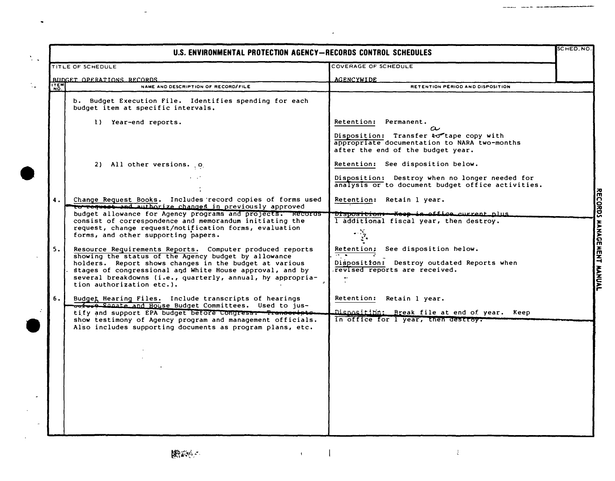|                                           | U.S. ENVIRONMENTAL PROTECTION AGENCY-RECORDS CONTROL SCHEDULES                                                                                                                                                                                                                                                                    |                                                                                                                                                                   |  |
|-------------------------------------------|-----------------------------------------------------------------------------------------------------------------------------------------------------------------------------------------------------------------------------------------------------------------------------------------------------------------------------------|-------------------------------------------------------------------------------------------------------------------------------------------------------------------|--|
| COVERAGE OF SCHEDULE<br>TITLE OF SCHEDULE |                                                                                                                                                                                                                                                                                                                                   |                                                                                                                                                                   |  |
|                                           | BUDGET OPERATIONS RECORDS                                                                                                                                                                                                                                                                                                         | AGENCYWIDE                                                                                                                                                        |  |
| <b>ITEM</b>                               | NAME AND DESCRIPTION OF RECORD/FILE                                                                                                                                                                                                                                                                                               | RETENTION PERIOD AND DISPOSITION                                                                                                                                  |  |
|                                           | b. Budget Execution File. Identifies spending for each<br>budget item at specific intervals.                                                                                                                                                                                                                                      |                                                                                                                                                                   |  |
|                                           | 1) Year-end reports.                                                                                                                                                                                                                                                                                                              | Retention: Permanent.<br>$\alpha$<br>Disposition: Transfer to tape copy with<br>appropriate documentation to NARA two-months<br>after the end of the budget year. |  |
|                                           | 2) All other versions. 0.                                                                                                                                                                                                                                                                                                         | Retention: See disposition below.                                                                                                                                 |  |
|                                           |                                                                                                                                                                                                                                                                                                                                   | Disposition: Destroy when no longer needed for<br>analysis or to document budget office activities.                                                               |  |
| 4.                                        | Change Request Books. Includes record copies of forms used<br>to request and authorize changes in previously approved                                                                                                                                                                                                             | Retention: Retain 1 year.                                                                                                                                         |  |
|                                           | budget allowance for Agency programs and projects. Records<br>consist of correspondence and memorandum initiating the<br>request, change request/notification forms, evaluation<br>forms, and other supporting papers.                                                                                                            | Disposition: Keep in office current nlus<br>l additional fiscal year, then destroy.<br>$-2\frac{1}{2}$                                                            |  |
| 5.                                        | Resource Requirements Reports. Computer produced reports<br>showing the status of the Agency budget by allowance<br>holders. Report shows changes in the budget at various<br>stages of congressional and White House approval, and by<br>several breakdowns (i.e., quarterly, annual, by appropria-<br>tion authorization etc.). | Retention; See disposition below.<br>Disposition: Destroy outdated Reports when<br>revised reports are received.                                                  |  |
| 6.                                        | Budget Hearing Files. Include transcripts of hearings<br>boford Secate and House Budget Committees. Used to jus-                                                                                                                                                                                                                  | Retention: Retain 1 year.                                                                                                                                         |  |
|                                           | tify and support EPA budget before congress: Transcripts<br>show testimony of Agency program and management officials.<br>Also includes supporting documents as program plans, etc.                                                                                                                                               | Disnositibn: Break file at end of year. Keep<br>in office for 1 year, then destroy.                                                                               |  |
|                                           |                                                                                                                                                                                                                                                                                                                                   |                                                                                                                                                                   |  |
|                                           |                                                                                                                                                                                                                                                                                                                                   |                                                                                                                                                                   |  |
|                                           |                                                                                                                                                                                                                                                                                                                                   |                                                                                                                                                                   |  |
|                                           |                                                                                                                                                                                                                                                                                                                                   |                                                                                                                                                                   |  |

 $\mathbf{H}$ 

 $\ddot{\phantom{0}}$ 

 $\frac{1}{2}$